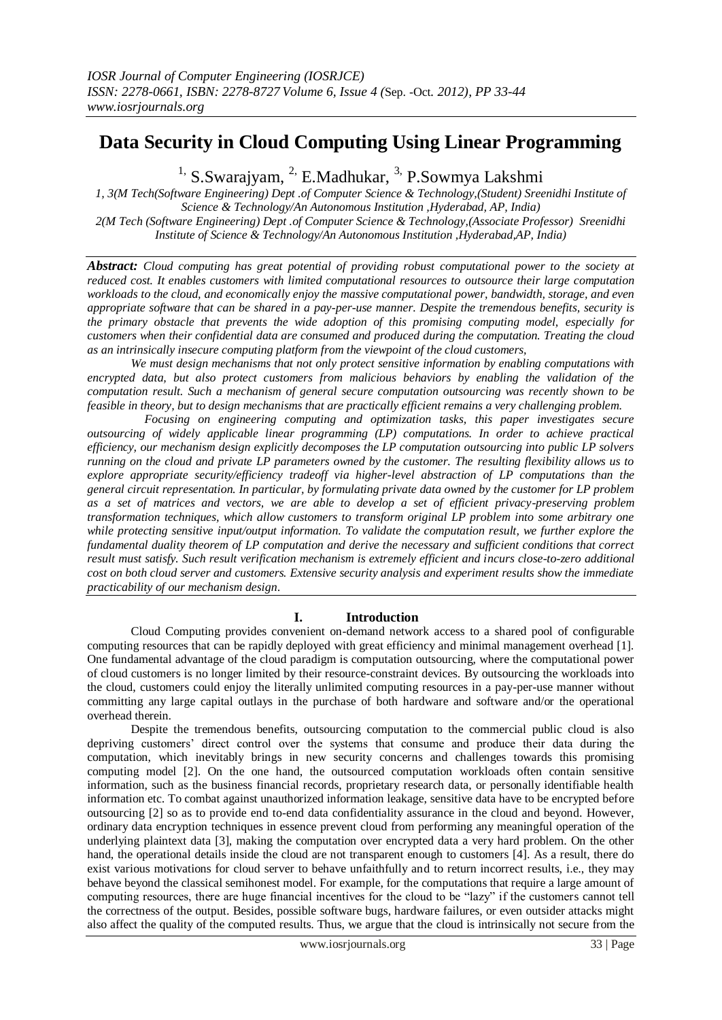# **Data Security in Cloud Computing Using Linear Programming**

<sup>1,</sup> S.Swarajyam, <sup>2,</sup> E.Madhukar, <sup>3,</sup> P.Sowmya Lakshmi

*1, 3(M Tech(Software Engineering) Dept .of Computer Science & Technology,(Student) Sreenidhi Institute of Science & Technology/An Autonomous Institution ,Hyderabad, AP, India) 2(M Tech (Software Engineering) Dept .of Computer Science & Technology,(Associate Professor) Sreenidhi Institute of Science & Technology/An Autonomous Institution ,Hyderabad,AP, India)*

*Abstract: Cloud computing has great potential of providing robust computational power to the society at reduced cost. It enables customers with limited computational resources to outsource their large computation workloads to the cloud, and economically enjoy the massive computational power, bandwidth, storage, and even appropriate software that can be shared in a pay-per-use manner. Despite the tremendous benefits, security is the primary obstacle that prevents the wide adoption of this promising computing model, especially for customers when their confidential data are consumed and produced during the computation. Treating the cloud as an intrinsically insecure computing platform from the viewpoint of the cloud customers,*

*We must design mechanisms that not only protect sensitive information by enabling computations with encrypted data, but also protect customers from malicious behaviors by enabling the validation of the computation result. Such a mechanism of general secure computation outsourcing was recently shown to be feasible in theory, but to design mechanisms that are practically efficient remains a very challenging problem.*

 *Focusing on engineering computing and optimization tasks, this paper investigates secure outsourcing of widely applicable linear programming (LP) computations. In order to achieve practical efficiency, our mechanism design explicitly decomposes the LP computation outsourcing into public LP solvers running on the cloud and private LP parameters owned by the customer. The resulting flexibility allows us to explore appropriate security/efficiency tradeoff via higher-level abstraction of LP computations than the general circuit representation. In particular, by formulating private data owned by the customer for LP problem as a set of matrices and vectors, we are able to develop a set of efficient privacy-preserving problem transformation techniques, which allow customers to transform original LP problem into some arbitrary one while protecting sensitive input/output information. To validate the computation result, we further explore the fundamental duality theorem of LP computation and derive the necessary and sufficient conditions that correct result must satisfy. Such result verification mechanism is extremely efficient and incurs close-to-zero additional cost on both cloud server and customers. Extensive security analysis and experiment results show the immediate practicability of our mechanism design*.

## **I. Introduction**

 Cloud Computing provides convenient on-demand network access to a shared pool of configurable computing resources that can be rapidly deployed with great efficiency and minimal management overhead [1]. One fundamental advantage of the cloud paradigm is computation outsourcing, where the computational power of cloud customers is no longer limited by their resource-constraint devices. By outsourcing the workloads into the cloud, customers could enjoy the literally unlimited computing resources in a pay-per-use manner without committing any large capital outlays in the purchase of both hardware and software and/or the operational overhead therein.

 Despite the tremendous benefits, outsourcing computation to the commercial public cloud is also depriving customers' direct control over the systems that consume and produce their data during the computation, which inevitably brings in new security concerns and challenges towards this promising computing model [2]. On the one hand, the outsourced computation workloads often contain sensitive information, such as the business financial records, proprietary research data, or personally identifiable health information etc. To combat against unauthorized information leakage, sensitive data have to be encrypted before outsourcing [2] so as to provide end to-end data confidentiality assurance in the cloud and beyond. However, ordinary data encryption techniques in essence prevent cloud from performing any meaningful operation of the underlying plaintext data [3], making the computation over encrypted data a very hard problem. On the other hand, the operational details inside the cloud are not transparent enough to customers [4]. As a result, there do exist various motivations for cloud server to behave unfaithfully and to return incorrect results, i.e., they may behave beyond the classical semihonest model. For example, for the computations that require a large amount of computing resources, there are huge financial incentives for the cloud to be "lazy" if the customers cannot tell the correctness of the output. Besides, possible software bugs, hardware failures, or even outsider attacks might also affect the quality of the computed results. Thus, we argue that the cloud is intrinsically not secure from the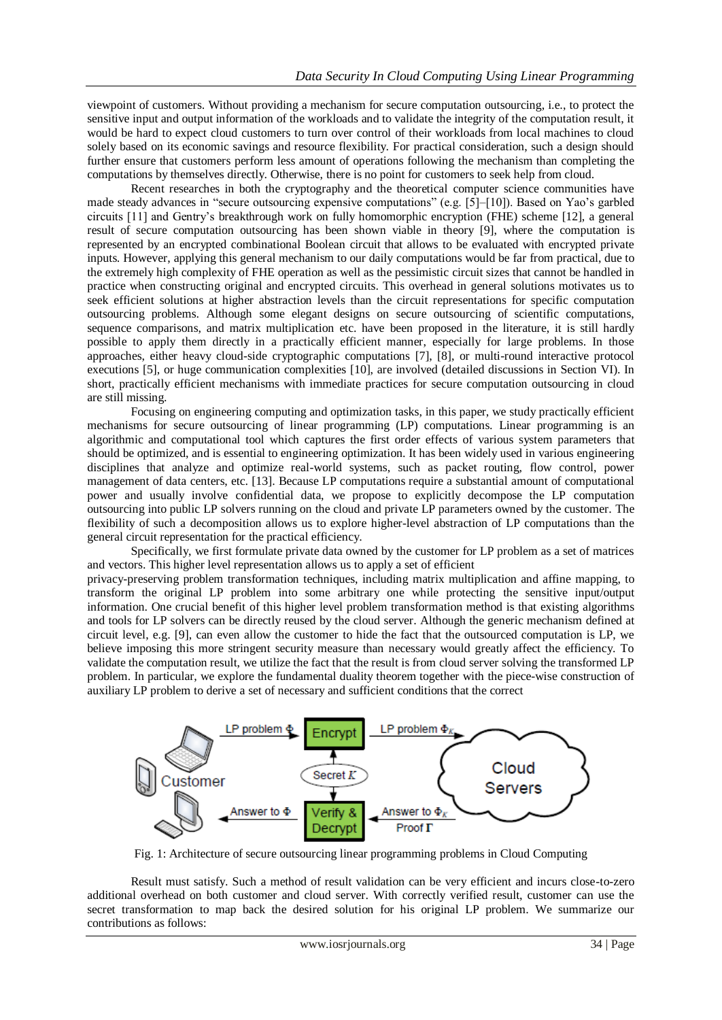viewpoint of customers. Without providing a mechanism for secure computation outsourcing, i.e., to protect the sensitive input and output information of the workloads and to validate the integrity of the computation result, it would be hard to expect cloud customers to turn over control of their workloads from local machines to cloud solely based on its economic savings and resource flexibility. For practical consideration, such a design should further ensure that customers perform less amount of operations following the mechanism than completing the computations by themselves directly. Otherwise, there is no point for customers to seek help from cloud.

 Recent researches in both the cryptography and the theoretical computer science communities have made steady advances in "secure outsourcing expensive computations" (e.g. [5]–[10]). Based on Yao's garbled circuits [11] and Gentry's breakthrough work on fully homomorphic encryption (FHE) scheme [12], a general result of secure computation outsourcing has been shown viable in theory [9], where the computation is represented by an encrypted combinational Boolean circuit that allows to be evaluated with encrypted private inputs. However, applying this general mechanism to our daily computations would be far from practical, due to the extremely high complexity of FHE operation as well as the pessimistic circuit sizes that cannot be handled in practice when constructing original and encrypted circuits. This overhead in general solutions motivates us to seek efficient solutions at higher abstraction levels than the circuit representations for specific computation outsourcing problems. Although some elegant designs on secure outsourcing of scientific computations, sequence comparisons, and matrix multiplication etc. have been proposed in the literature, it is still hardly possible to apply them directly in a practically efficient manner, especially for large problems. In those approaches, either heavy cloud-side cryptographic computations [7], [8], or multi-round interactive protocol executions [5], or huge communication complexities [10], are involved (detailed discussions in Section VI). In short, practically efficient mechanisms with immediate practices for secure computation outsourcing in cloud are still missing.

 Focusing on engineering computing and optimization tasks, in this paper, we study practically efficient mechanisms for secure outsourcing of linear programming (LP) computations. Linear programming is an algorithmic and computational tool which captures the first order effects of various system parameters that should be optimized, and is essential to engineering optimization. It has been widely used in various engineering disciplines that analyze and optimize real-world systems, such as packet routing, flow control, power management of data centers, etc. [13]. Because LP computations require a substantial amount of computational power and usually involve confidential data, we propose to explicitly decompose the LP computation outsourcing into public LP solvers running on the cloud and private LP parameters owned by the customer. The flexibility of such a decomposition allows us to explore higher-level abstraction of LP computations than the general circuit representation for the practical efficiency.

 Specifically, we first formulate private data owned by the customer for LP problem as a set of matrices and vectors. This higher level representation allows us to apply a set of efficient

privacy-preserving problem transformation techniques, including matrix multiplication and affine mapping, to transform the original LP problem into some arbitrary one while protecting the sensitive input/output information. One crucial benefit of this higher level problem transformation method is that existing algorithms and tools for LP solvers can be directly reused by the cloud server. Although the generic mechanism defined at circuit level, e.g. [9], can even allow the customer to hide the fact that the outsourced computation is LP, we believe imposing this more stringent security measure than necessary would greatly affect the efficiency. To validate the computation result, we utilize the fact that the result is from cloud server solving the transformed LP problem. In particular, we explore the fundamental duality theorem together with the piece-wise construction of auxiliary LP problem to derive a set of necessary and sufficient conditions that the correct



Fig. 1: Architecture of secure outsourcing linear programming problems in Cloud Computing

Result must satisfy. Such a method of result validation can be very efficient and incurs close-to-zero additional overhead on both customer and cloud server. With correctly verified result, customer can use the secret transformation to map back the desired solution for his original LP problem. We summarize our contributions as follows: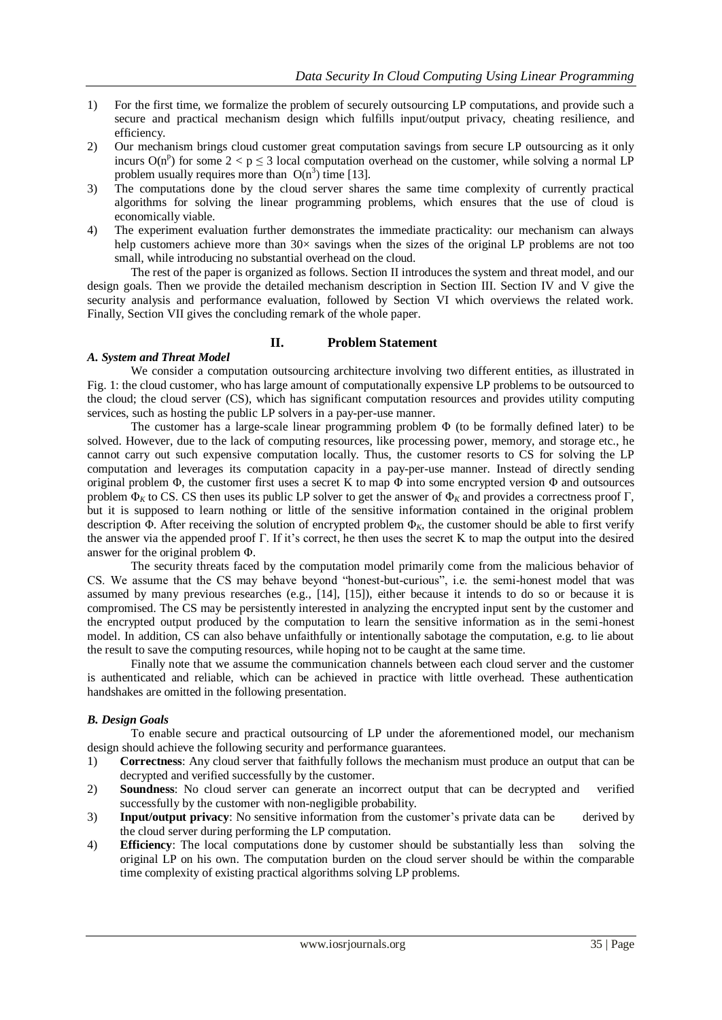- 1) For the first time, we formalize the problem of securely outsourcing LP computations, and provide such a secure and practical mechanism design which fulfills input/output privacy, cheating resilience, and efficiency.
- 2) Our mechanism brings cloud customer great computation savings from secure LP outsourcing as it only incurs  $O(n^p)$  for some  $2 < p \le 3$  local computation overhead on the customer, while solving a normal LP problem usually requires more than  $O(n^3)$  time [13].
- 3) The computations done by the cloud server shares the same time complexity of currently practical algorithms for solving the linear programming problems, which ensures that the use of cloud is economically viable.
- 4) The experiment evaluation further demonstrates the immediate practicality: our mechanism can always help customers achieve more than  $30\times$  savings when the sizes of the original LP problems are not too small, while introducing no substantial overhead on the cloud.

 The rest of the paper is organized as follows. Section II introduces the system and threat model, and our design goals. Then we provide the detailed mechanism description in Section III. Section IV and V give the security analysis and performance evaluation, followed by Section VI which overviews the related work. Finally, Section VII gives the concluding remark of the whole paper.

## **II. Problem Statement**

### *A. System and Threat Model*

 We consider a computation outsourcing architecture involving two different entities, as illustrated in Fig. 1: the cloud customer, who has large amount of computationally expensive LP problems to be outsourced to the cloud; the cloud server (CS), which has significant computation resources and provides utility computing services, such as hosting the public LP solvers in a pay-per-use manner.

 The customer has a large-scale linear programming problem Φ (to be formally defined later) to be solved. However, due to the lack of computing resources, like processing power, memory, and storage etc., he cannot carry out such expensive computation locally. Thus, the customer resorts to CS for solving the LP computation and leverages its computation capacity in a pay-per-use manner. Instead of directly sending original problem  $\Phi$ , the customer first uses a secret K to map  $\Phi$  into some encrypted version  $\Phi$  and outsources problem  $Φ$ <sub>K</sub> to CS. CS then uses its public LP solver to get the answer of  $Φ$ <sub>K</sub> and provides a correctness proof Γ, but it is supposed to learn nothing or little of the sensitive information contained in the original problem description Φ. After receiving the solution of encrypted problem Φ*K*, the customer should be able to first verify the answer via the appended proof Γ. If it's correct, he then uses the secret K to map the output into the desired answer for the original problem Φ.

 The security threats faced by the computation model primarily come from the malicious behavior of CS. We assume that the CS may behave beyond "honest-but-curious", i.e. the semi-honest model that was assumed by many previous researches (e.g., [14], [15]), either because it intends to do so or because it is compromised. The CS may be persistently interested in analyzing the encrypted input sent by the customer and the encrypted output produced by the computation to learn the sensitive information as in the semi-honest model. In addition, CS can also behave unfaithfully or intentionally sabotage the computation, e.g. to lie about the result to save the computing resources, while hoping not to be caught at the same time.

 Finally note that we assume the communication channels between each cloud server and the customer is authenticated and reliable, which can be achieved in practice with little overhead. These authentication handshakes are omitted in the following presentation.

## *B. Design Goals*

 To enable secure and practical outsourcing of LP under the aforementioned model, our mechanism design should achieve the following security and performance guarantees.

- 1) **Correctness**: Any cloud server that faithfully follows the mechanism must produce an output that can be decrypted and verified successfully by the customer.
- 2) **Soundness**: No cloud server can generate an incorrect output that can be decrypted and verified successfully by the customer with non-negligible probability.
- 3) **Input/output privacy**: No sensitive information from the customer's private data can be derived by the cloud server during performing the LP computation.
- 4) **Efficiency**: The local computations done by customer should be substantially less than solving the original LP on his own. The computation burden on the cloud server should be within the comparable time complexity of existing practical algorithms solving LP problems.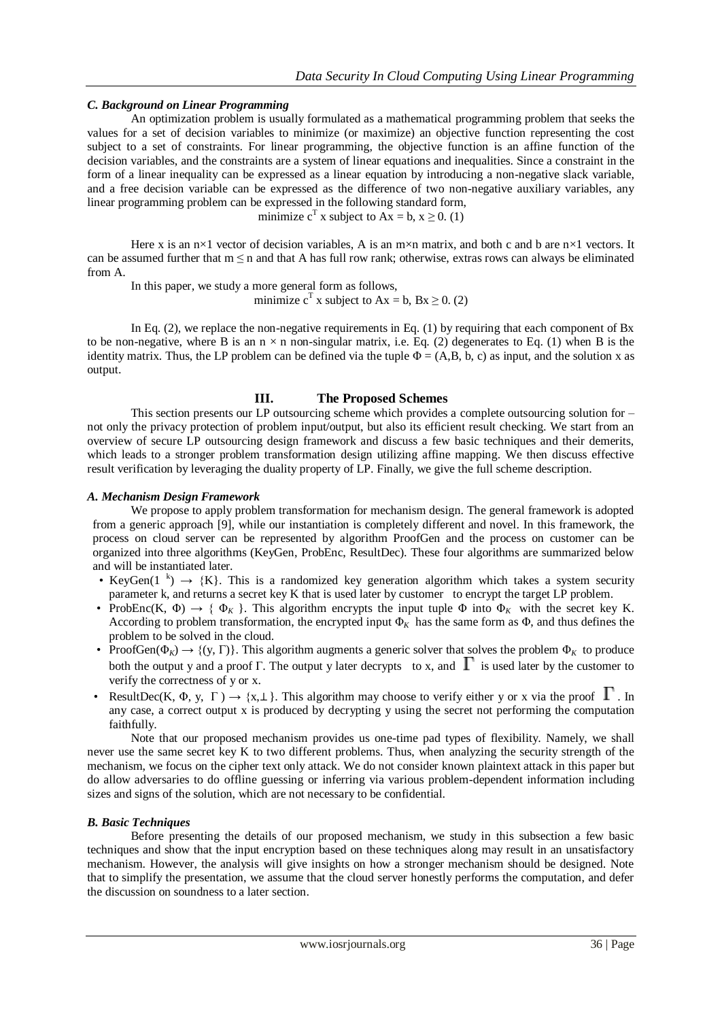#### *C. Background on Linear Programming*

 An optimization problem is usually formulated as a mathematical programming problem that seeks the values for a set of decision variables to minimize (or maximize) an objective function representing the cost subject to a set of constraints. For linear programming, the objective function is an affine function of the decision variables, and the constraints are a system of linear equations and inequalities. Since a constraint in the form of a linear inequality can be expressed as a linear equation by introducing a non-negative slack variable, and a free decision variable can be expressed as the difference of two non-negative auxiliary variables, any linear programming problem can be expressed in the following standard form,

minimize  $c^T$  x subject to  $Ax = b$ ,  $x \ge 0$ . (1)

Here x is an  $n \times 1$  vector of decision variables, A is an  $m \times n$  matrix, and both c and b are  $n \times 1$  vectors. It can be assumed further that  $m \leq n$  and that A has full row rank; otherwise, extras rows can always be eliminated from A.

 In this paper, we study a more general form as follows, minimize  $c^T$  x subject to Ax = b, Bx  $\geq$  0. (2)

In Eq. (2), we replace the non-negative requirements in Eq. (1) by requiring that each component of Bx to be non-negative, where B is an  $n \times n$  non-singular matrix, i.e. Eq. (2) degenerates to Eq. (1) when B is the identity matrix. Thus, the LP problem can be defined via the tuple  $\Phi = (A, B, b, c)$  as input, and the solution x as output.

#### **III. The Proposed Schemes**

This section presents our LP outsourcing scheme which provides a complete outsourcing solution for – not only the privacy protection of problem input/output, but also its efficient result checking. We start from an overview of secure LP outsourcing design framework and discuss a few basic techniques and their demerits, which leads to a stronger problem transformation design utilizing affine mapping. We then discuss effective result verification by leveraging the duality property of LP. Finally, we give the full scheme description.

#### *A. Mechanism Design Framework*

We propose to apply problem transformation for mechanism design. The general framework is adopted from a generic approach [9], while our instantiation is completely different and novel. In this framework, the process on cloud server can be represented by algorithm ProofGen and the process on customer can be organized into three algorithms (KeyGen, ProbEnc, ResultDec). These four algorithms are summarized below and will be instantiated later.

- KeyGen(1<sup>k</sup>)  $\rightarrow$  {K}. This is a randomized key generation algorithm which takes a system security parameter k, and returns a secret key K that is used later by customer to encrypt the target LP problem.
- ProbEnc(K,  $\Phi$ )  $\rightarrow$  { $\Phi$ <sub>K</sub> }. This algorithm encrypts the input tuple  $\Phi$  into  $\Phi$ <sub>K</sub> with the secret key K. According to problem transformation, the encrypted input  $\Phi_k$  has the same form as  $\Phi$ , and thus defines the problem to be solved in the cloud.
- ProofGen( $\Phi_K$ )  $\rightarrow$  {(y, Γ)}. This algorithm augments a generic solver that solves the problem  $\Phi_K$  to produce both the output y and a proof Γ. The output y later decrypts to x, and  $\Gamma$  is used later by the customer to verify the correctness of y or x.
- ResultDec(K,  $\Phi$ , y,  $\Gamma$ )  $\rightarrow$  {x, \times}. This algorithm may choose to verify either y or x via the proof  $\Gamma$ . In any case, a correct output x is produced by decrypting y using the secret not performing the computation faithfully.

Note that our proposed mechanism provides us one-time pad types of flexibility. Namely, we shall never use the same secret key K to two different problems. Thus, when analyzing the security strength of the mechanism, we focus on the cipher text only attack. We do not consider known plaintext attack in this paper but do allow adversaries to do offline guessing or inferring via various problem-dependent information including sizes and signs of the solution, which are not necessary to be confidential.

#### *B. Basic Techniques*

 Before presenting the details of our proposed mechanism, we study in this subsection a few basic techniques and show that the input encryption based on these techniques along may result in an unsatisfactory mechanism. However, the analysis will give insights on how a stronger mechanism should be designed. Note that to simplify the presentation, we assume that the cloud server honestly performs the computation, and defer the discussion on soundness to a later section.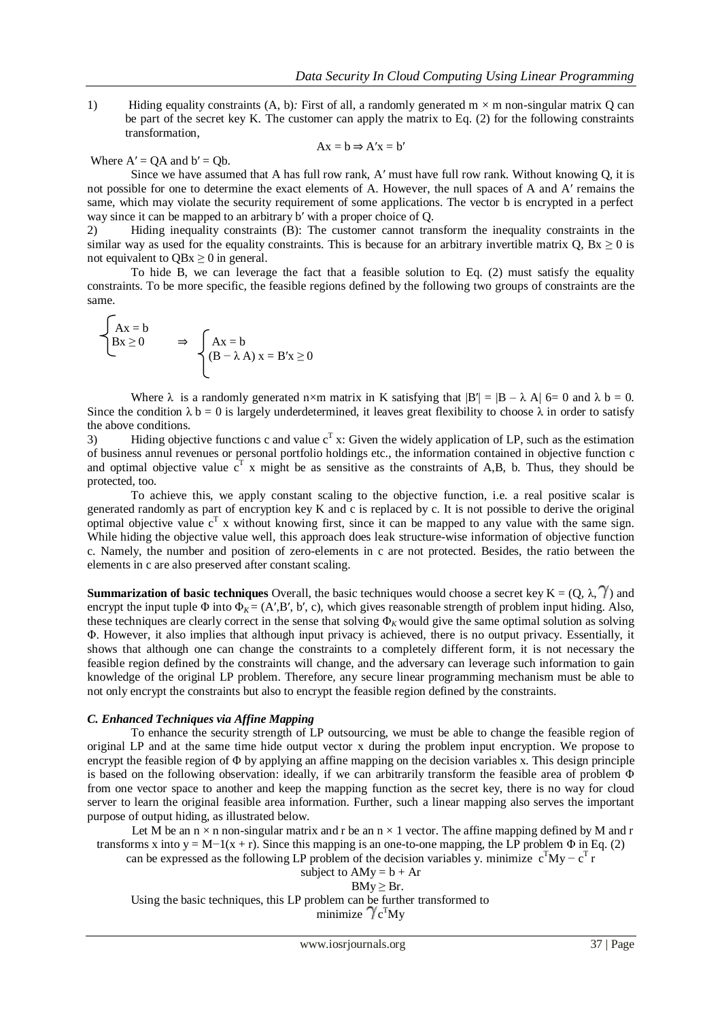1) Hiding equality constraints (A, b)*:* First of all, a randomly generated m × m non-singular matrix Q can be part of the secret key K. The customer can apply the matrix to Eq. (2) for the following constraints transformation,

$$
Ax = b \Rightarrow A'x = b'
$$

Where  $A' = OA$  and  $b' = Ob$ .

 Since we have assumed that A has full row rank, A′ must have full row rank. Without knowing Q, it is not possible for one to determine the exact elements of A. However, the null spaces of A and A′ remains the same, which may violate the security requirement of some applications. The vector b is encrypted in a perfect way since it can be mapped to an arbitrary b' with a proper choice of Q.

2) Hiding inequality constraints (B): The customer cannot transform the inequality constraints in the similar way as used for the equality constraints. This is because for an arbitrary invertible matrix Q,  $Bx \ge 0$  is not equivalent to  $OBx \geq 0$  in general.

 To hide B, we can leverage the fact that a feasible solution to Eq. (2) must satisfy the equality constraints. To be more specific, the feasible regions defined by the following two groups of constraints are the same.

$$
\begin{cases}\nAx = b \\
Bx \ge 0\n\end{cases} \Rightarrow \begin{cases}\nAx = b \\
(B - \lambda A) x = B'x \ge 0\n\end{cases}
$$

Where  $\lambda$  is a randomly generated n×m matrix in K satisfying that  $|B'| = |B - \lambda A|$  6= 0 and  $\lambda b = 0$ . Since the condition  $\lambda$  b = 0 is largely underdetermined, it leaves great flexibility to choose  $\lambda$  in order to satisfy the above conditions.

3) Hiding objective functions c and value  $c<sup>T</sup>$  x: Given the widely application of LP, such as the estimation of business annul revenues or personal portfolio holdings etc., the information contained in objective function c and optimal objective value  $c<sup>T</sup>$  x might be as sensitive as the constraints of A,B, b. Thus, they should be protected, too.

 To achieve this, we apply constant scaling to the objective function, i.e. a real positive scalar is generated randomly as part of encryption key K and c is replaced by c. It is not possible to derive the original optimal objective value  $c<sup>T</sup>$  x without knowing first, since it can be mapped to any value with the same sign. While hiding the objective value well, this approach does leak structure-wise information of objective function c. Namely, the number and position of zero-elements in c are not protected. Besides, the ratio between the elements in c are also preserved after constant scaling.

**Summarization of basic techniques** Overall, the basic techniques would choose a secret key  $K = (Q, \lambda, \gamma)$  and encrypt the input tuple  $\Phi$  into  $\Phi_K = (A', B', b', c)$ , which gives reasonable strength of problem input hiding. Also, these techniques are clearly correct in the sense that solving  $\Phi_K$  would give the same optimal solution as solving Φ. However, it also implies that although input privacy is achieved, there is no output privacy. Essentially, it shows that although one can change the constraints to a completely different form, it is not necessary the feasible region defined by the constraints will change, and the adversary can leverage such information to gain knowledge of the original LP problem. Therefore, any secure linear programming mechanism must be able to not only encrypt the constraints but also to encrypt the feasible region defined by the constraints.

#### *C. Enhanced Techniques via Affine Mapping*

 To enhance the security strength of LP outsourcing, we must be able to change the feasible region of original LP and at the same time hide output vector x during the problem input encryption. We propose to encrypt the feasible region of Φ by applying an affine mapping on the decision variables x. This design principle is based on the following observation: ideally, if we can arbitrarily transform the feasible area of problem Φ from one vector space to another and keep the mapping function as the secret key, there is no way for cloud server to learn the original feasible area information. Further, such a linear mapping also serves the important purpose of output hiding, as illustrated below.

Let M be an  $n \times n$  non-singular matrix and r be an  $n \times 1$  vector. The affine mapping defined by M and r transforms x into  $y = M-1(x + r)$ . Since this mapping is an one-to-one mapping, the LP problem  $\Phi$  in Eq. (2)

can be expressed as the following LP problem of the decision variables y. minimize  $c^{T}My - c^{T}r$ 

subject to  $AMy = b + Ar$  $BMy \geq Br.$ 

Using the basic techniques, this LP problem can be further transformed to minimize  $\gamma_{\rm c}$ <sup>T</sup>My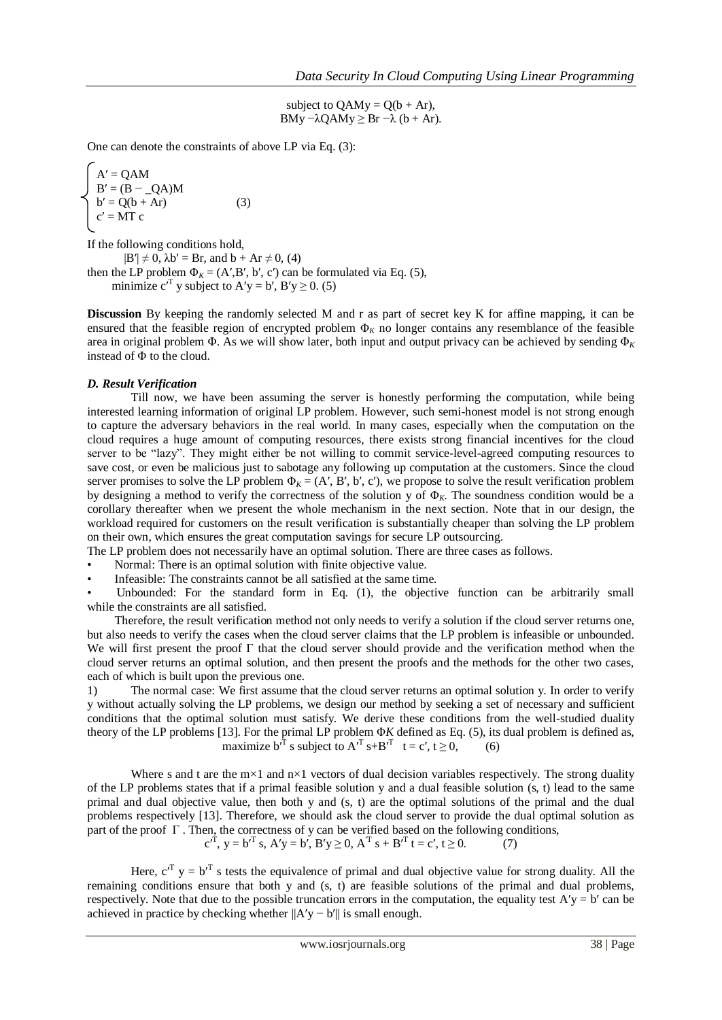subject to  $OAMy = O(b + Ar)$ , BMy  $-\lambda OAMy \geq Br - \lambda (b + Ar)$ .

One can denote the constraints of above LP via Eq. (3):

$$
\begin{cases}\nA' = QAM \\
B' = (B - QA)M \\
b' = Q(b + Ar) \\
c' = MT c\n\end{cases}
$$
\n(3)

If the following conditions hold,

 $|B'| \neq 0$ ,  $\lambda b' = Br$ , and  $b + Ar \neq 0$ , (4) then the LP problem  $\Phi_K = (A', B', b', c')$  can be formulated via Eq. (5), minimize  $c^{T}$  y subject to A'y = b', B'y  $\geq$  0. (5)

**Discussion** By keeping the randomly selected M and r as part of secret key K for affine mapping, it can be ensured that the feasible region of encrypted problem  $\Phi_K$  no longer contains any resemblance of the feasible area in original problem Φ. As we will show later, both input and output privacy can be achieved by sending Φ*<sup>K</sup>* instead of Φ to the cloud.

### *D. Result Verification*

 Till now, we have been assuming the server is honestly performing the computation, while being interested learning information of original LP problem. However, such semi-honest model is not strong enough to capture the adversary behaviors in the real world. In many cases, especially when the computation on the cloud requires a huge amount of computing resources, there exists strong financial incentives for the cloud server to be "lazy". They might either be not willing to commit service-level-agreed computing resources to save cost, or even be malicious just to sabotage any following up computation at the customers. Since the cloud server promises to solve the LP problem  $\Phi_K = (A', B', b', c')$ , we propose to solve the result verification problem by designing a method to verify the correctness of the solution y of  $\Phi_K$ . The soundness condition would be a corollary thereafter when we present the whole mechanism in the next section. Note that in our design, the workload required for customers on the result verification is substantially cheaper than solving the LP problem on their own, which ensures the great computation savings for secure LP outsourcing.

The LP problem does not necessarily have an optimal solution. There are three cases as follows.

- Normal: There is an optimal solution with finite objective value.
- Infeasible: The constraints cannot be all satisfied at the same time.

Unbounded: For the standard form in Eq. (1), the objective function can be arbitrarily small while the constraints are all satisfied.

Therefore, the result verification method not only needs to verify a solution if the cloud server returns one, but also needs to verify the cases when the cloud server claims that the LP problem is infeasible or unbounded. We will first present the proof  $\Gamma$  that the cloud server should provide and the verification method when the cloud server returns an optimal solution, and then present the proofs and the methods for the other two cases, each of which is built upon the previous one.

1) The normal case: We first assume that the cloud server returns an optimal solution y. In order to verify y without actually solving the LP problems, we design our method by seeking a set of necessary and sufficient conditions that the optimal solution must satisfy. We derive these conditions from the well-studied duality theory of the LP problems [13]. For the primal LP problem Φ*K* defined as Eq. (5), its dual problem is defined as, maximize  $b'^T$  s subject to  $A'^T$  s+B<sup>T</sup> t = c', t ≥ 0, (6)

Where s and t are the  $m \times 1$  and  $n \times 1$  vectors of dual decision variables respectively. The strong duality of the LP problems states that if a primal feasible solution y and a dual feasible solution (s, t) lead to the same primal and dual objective value, then both y and (s, t) are the optimal solutions of the primal and the dual problems respectively [13]. Therefore, we should ask the cloud server to provide the dual optimal solution as part of the proof  $\Gamma$ . Then, the correctness of y can be verified based on the following conditions,  $c'^T$ ,  $y = b'^T s$ ,  $A'y = b'$ ,  $B'y \ge 0$ ,  $A^T s + B'^T t = c'$ ,  $t \ge 0$ . (7)

Here,  $c^{T}$  y =  $b^{T}$  s tests the equivalence of primal and dual objective value for strong duality. All the remaining conditions ensure that both y and (s, t) are feasible solutions of the primal and dual problems, respectively. Note that due to the possible truncation errors in the computation, the equality test  $A'y = b'$  can be achieved in practice by checking whether  $||A'y - b'||$  is small enough.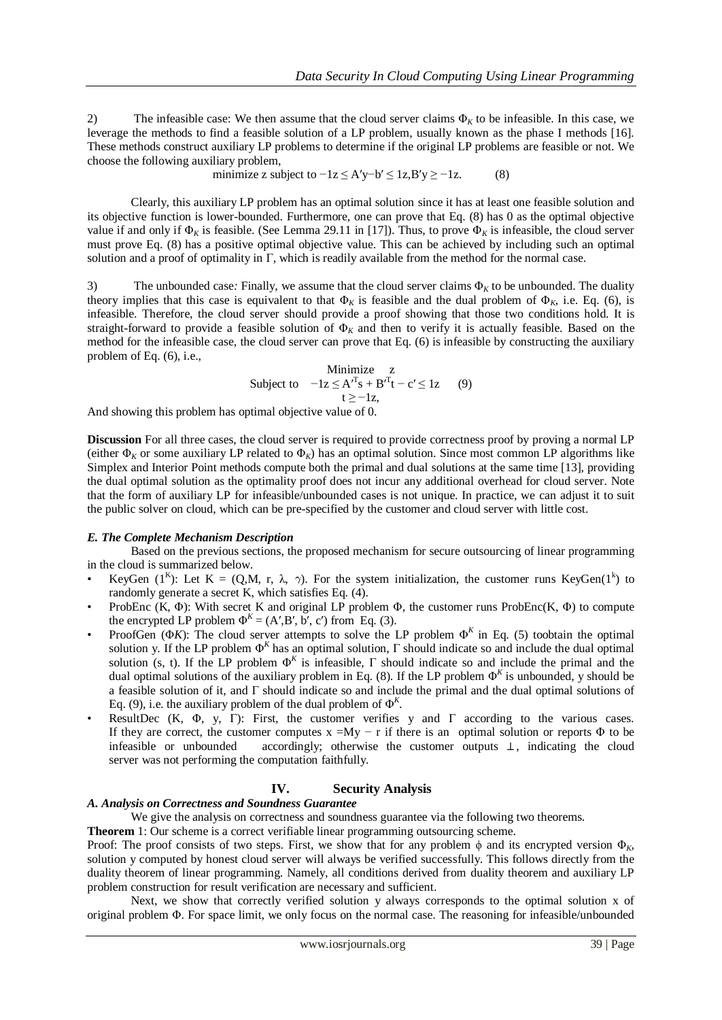2) The infeasible case: We then assume that the cloud server claims  $\Phi_k$  to be infeasible. In this case, we leverage the methods to find a feasible solution of a LP problem, usually known as the phase I methods [16]. These methods construct auxiliary LP problems to determine if the original LP problems are feasible or not. We choose the following auxiliary problem,

minimize z subject to 
$$
-1z \le A'y-b' \le 1z, B'y \ge -1z
$$
. (8)

Clearly, this auxiliary LP problem has an optimal solution since it has at least one feasible solution and its objective function is lower-bounded. Furthermore, one can prove that Eq. (8) has 0 as the optimal objective value if and only if  $\Phi_K$  is feasible. (See Lemma 29.11 in [17]). Thus, to prove  $\Phi_K$  is infeasible, the cloud server must prove Eq. (8) has a positive optimal objective value. This can be achieved by including such an optimal solution and a proof of optimality in  $\Gamma$ , which is readily available from the method for the normal case.

3) The unbounded case: Finally, we assume that the cloud server claims  $\Phi_K$  to be unbounded. The duality theory implies that this case is equivalent to that  $\Phi_K$  is feasible and the dual problem of  $\Phi_K$ , i.e. Eq. (6), is infeasible. Therefore, the cloud server should provide a proof showing that those two conditions hold. It is straight-forward to provide a feasible solution of Φ*<sup>K</sup>* and then to verify it is actually feasible. Based on the method for the infeasible case, the cloud server can prove that Eq. (6) is infeasible by constructing the auxiliary problem of Eq. (6), i.e.,

> Minimize z Subject to  $-1z \leq A^{T} s + B^{T} t - c' \leq 1z$  (9)  $t \ge -1z$ ,

And showing this problem has optimal objective value of 0.

**Discussion** For all three cases, the cloud server is required to provide correctness proof by proving a normal LP (either  $\Phi_K$  or some auxiliary LP related to  $\Phi_K$ ) has an optimal solution. Since most common LP algorithms like Simplex and Interior Point methods compute both the primal and dual solutions at the same time [13], providing the dual optimal solution as the optimality proof does not incur any additional overhead for cloud server. Note that the form of auxiliary LP for infeasible/unbounded cases is not unique. In practice, we can adjust it to suit the public solver on cloud, which can be pre-specified by the customer and cloud server with little cost.

#### *E. The Complete Mechanism Description*

 Based on the previous sections, the proposed mechanism for secure outsourcing of linear programming in the cloud is summarized below.

- KeyGen  $(1^k)$ : Let K =  $(Q,M, r, \lambda, \gamma)$ . For the system initialization, the customer runs KeyGen $(1^k)$  to randomly generate a secret K, which satisfies Eq. (4).
- ProbEnc (K,  $\Phi$ ): With secret K and original LP problem  $\Phi$ , the customer runs ProbEnc(K,  $\Phi$ ) to compute the encrypted LP problem  $\Phi^K = (A', B', b', c')$  from Eq. (3).
- ProofGen ( $\Phi K$ ): The cloud server attempts to solve the LP problem  $\Phi^K$  in Eq. (5) toobtain the optimal solution y. If the LP problem  $\Phi^K$  has an optimal solution,  $\Gamma$  should indicate so and include the dual optimal solution (s, t). If the LP problem  $\Phi^K$  is infeasible,  $\Gamma$  should indicate so and include the primal and the dual optimal solutions of the auxiliary problem in Eq. (8). If the LP problem  $\Phi^K$  is unbounded, y should be a feasible solution of it, and Γ should indicate so and include the primal and the dual optimal solutions of Eq. (9), i.e. the auxiliary problem of the dual problem of  $\Phi^K$ .
- ResultDec (K, Φ, y, Γ): First, the customer verifies y and Γ according to the various cases. If they are correct, the customer computes  $x = My - r$  if there is an optimal solution or reports  $\Phi$  to be infeasible or unbounded accordingly; otherwise the customer outputs ⊥, indicating the cloud server was not performing the computation faithfully.

# **IV. Security Analysis**

#### *A. Analysis on Correctness and Soundness Guarantee*

We give the analysis on correctness and soundness guarantee via the following two theorems.

**Theorem** 1: Our scheme is a correct verifiable linear programming outsourcing scheme.

Proof: The proof consists of two steps. First, we show that for any problem  $\phi$  and its encrypted version  $\Phi_K$ , solution y computed by honest cloud server will always be verified successfully. This follows directly from the duality theorem of linear programming. Namely, all conditions derived from duality theorem and auxiliary LP problem construction for result verification are necessary and sufficient.

 Next, we show that correctly verified solution y always corresponds to the optimal solution x of original problem Φ. For space limit, we only focus on the normal case. The reasoning for infeasible/unbounded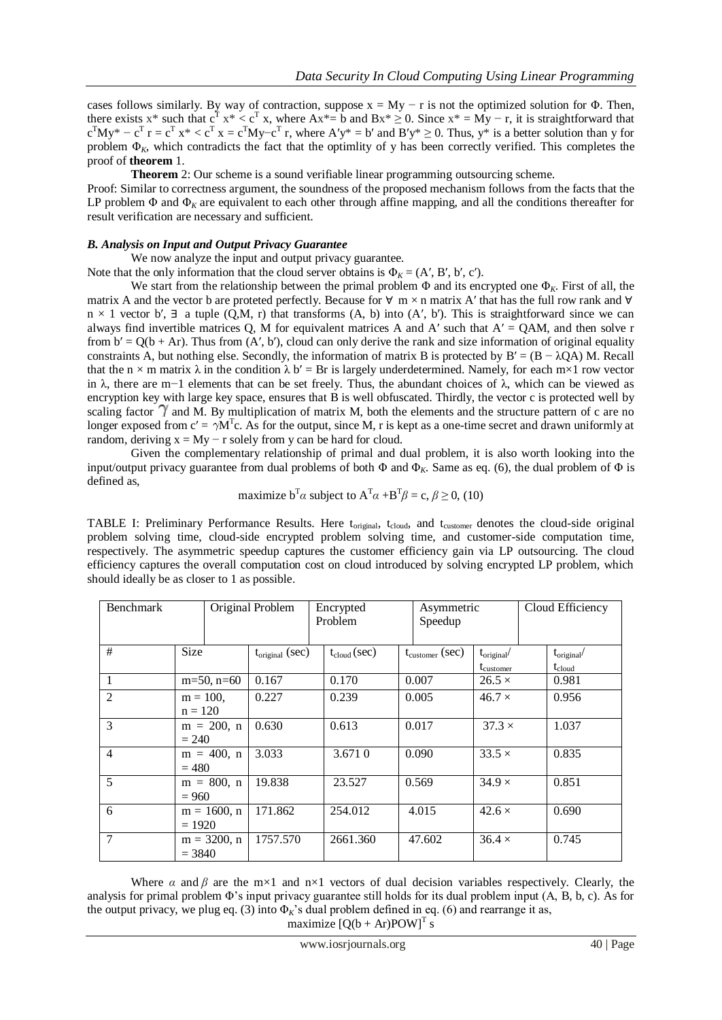cases follows similarly. By way of contraction, suppose  $x = My - r$  is not the optimized solution for  $\Phi$ . Then, there exists x\* such that  $c^T x^* < c^T x$ , where  $Ax^* = b$  and  $Bx^* \ge 0$ . Since  $x^* = My - r$ , it is straightforward that  $c^{T}My^* - c^{T}r = c^{T}x^* < c^{T}x = c^{T}My - c^{T}r$ , where  $Ay^* = b'$  and  $By^* \ge 0$ . Thus,  $y^*$  is a better solution than y for problem Φ*K*, which contradicts the fact that the optimlity of y has been correctly verified. This completes the proof of **theorem** 1.

**Theorem** 2: Our scheme is a sound verifiable linear programming outsourcing scheme.

Proof: Similar to correctness argument, the soundness of the proposed mechanism follows from the facts that the LP problem  $\Phi$  and  $\Phi$ <sub>K</sub> are equivalent to each other through affine mapping, and all the conditions thereafter for result verification are necessary and sufficient.

#### *B. Analysis on Input and Output Privacy Guarantee*

We now analyze the input and output privacy guarantee.

Note that the only information that the cloud server obtains is  $\Phi_K = (A', B', b', c')$ .

We start from the relationship between the primal problem  $\Phi$  and its encrypted one  $\Phi$ <sub>K</sub>. First of all, the matrix A and the vector b are proteted perfectly. Because for  $\forall$  m × n matrix A' that has the full row rank and  $\forall$  $n \times 1$  vector b',  $\exists$  a tuple (Q,M, r) that transforms (A, b) into (A', b'). This is straightforward since we can always find invertible matrices Q, M for equivalent matrices A and A' such that  $A' = QAM$ , and then solve r from  $b' = Q(b + Ar)$ . Thus from  $(A', b')$ , cloud can only derive the rank and size information of original equality constraints A, but nothing else. Secondly, the information of matrix B is protected by  $B' = (B - \lambda QA) M$ . Recall that the n  $\times$  m matrix  $\lambda$  in the condition  $\lambda$  b' = Br is largely underdetermined. Namely, for each m×1 row vector in λ, there are m−1 elements that can be set freely. Thus, the abundant choices of λ, which can be viewed as encryption key with large key space, ensures that B is well obfuscated. Thirdly, the vector c is protected well by scaling factor  $\gamma$  and M. By multiplication of matrix M, both the elements and the structure pattern of c are no longer exposed from  $c' = \gamma M^{T}c$ . As for the output, since M, r is kept as a one-time secret and drawn uniformly at random, deriving  $x = My - r$  solely from y can be hard for cloud.

 Given the complementary relationship of primal and dual problem, it is also worth looking into the input/output privacy guarantee from dual problems of both  $\Phi$  and  $\Phi$ <sub>K</sub>. Same as eq. (6), the dual problem of  $\Phi$  is defined as,

maximize 
$$
b^T \alpha
$$
 subject to  $A^T \alpha + B^T \beta = c$ ,  $\beta \ge 0$ , (10)

TABLE I: Preliminary Performance Results. Here t<sub>original</sub>, t<sub>cloud</sub>, and t<sub>customer</sub> denotes the cloud-side original problem solving time, cloud-side encrypted problem solving time, and customer-side computation time, respectively. The asymmetric speedup captures the customer efficiency gain via LP outsourcing. The cloud efficiency captures the overall computation cost on cloud introduced by solving encrypted LP problem, which should ideally be as closer to 1 as possible.

| <b>Benchmark</b> |                            | Original Problem |                      | Encrypted<br>Problem |       | Asymmetric<br>Speedup       |                                         | Cloud Efficiency              |
|------------------|----------------------------|------------------|----------------------|----------------------|-------|-----------------------------|-----------------------------------------|-------------------------------|
| #                | <b>Size</b>                |                  | $t_{original}$ (sec) | $t_{cloud}$ (sec)    |       | $t_{\text{customer}}$ (sec) | $t_{original}$<br>t <sub>customer</sub> | $t_{original}$<br>$t_{cloud}$ |
| $\mathbf{1}$     | $m=50$ , $n=60$            | 0.167            |                      | 0.170                | 0.007 |                             | $26.5 \times$                           | 0.981                         |
| $\overline{2}$   | $m = 100$ ,<br>$n = 120$   | 0.227            |                      | 0.239                | 0.005 |                             | $46.7 \times$                           | 0.956                         |
| 3                | $m = 200$ , n<br>$= 240$   | 0.630            |                      | 0.613                | 0.017 |                             | $37.3 \times$                           | 1.037                         |
| $\overline{4}$   | $m = 400$ , n<br>$= 480$   | 3.033            |                      | 3.6710               | 0.090 |                             | $33.5 \times$                           | 0.835                         |
| 5                | $m = 800$ , n<br>$= 960$   | 19.838           |                      | 23.527               | 0.569 |                             | $34.9 \times$                           | 0.851                         |
| 6                | $m = 1600$ , n<br>$= 1920$ | 171.862          |                      | 254.012              | 4.015 |                             | $42.6 \times$                           | 0.690                         |
| 7                | $m = 3200$ , n<br>$= 3840$ | 1757.570         |                      | 2661.360             |       | 47.602                      | $36.4 \times$                           | 0.745                         |

Where  $\alpha$  and  $\beta$  are the m×1 and n×1 vectors of dual decision variables respectively. Clearly, the analysis for primal problem  $\Phi$ 's input privacy guarantee still holds for its dual problem input  $(A, B, b, c)$ . As for the output privacy, we plug eq. (3) into  $\Phi_K$ 's dual problem defined in eq. (6) and rearrange it as, maximize  $[Q(b + Ar)POW]^T$  s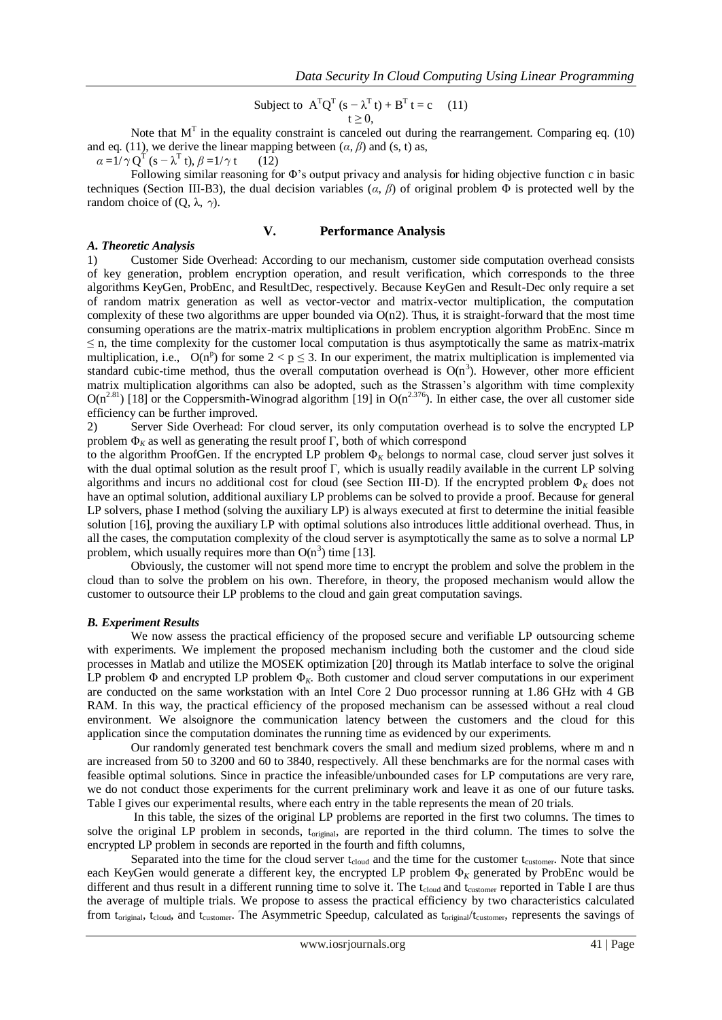Subject to 
$$
A^{T}Q^{T}(s - \lambda^{T}t) + B^{T}t = c
$$
 (11)  
 $t \ge 0$ ,

Note that  $M<sup>T</sup>$  in the equality constraint is canceled out during the rearrangement. Comparing eq. (10) and eq. (11), we derive the linear mapping between  $(a, \beta)$  and  $(s, t)$  as,

 $\alpha = 1/\gamma \, Q^T (s - \lambda^T t), \beta = 1/\gamma t$  (12)

Following similar reasoning for Φ's output privacy and analysis for hiding objective function c in basic techniques (Section III-B3), the dual decision variables (*α*, *β*) of original problem Φ is protected well by the random choice of (Q, λ,  $γ$ ).

## **V. Performance Analysis**

#### *A. Theoretic Analysis*

1) Customer Side Overhead: According to our mechanism, customer side computation overhead consists of key generation, problem encryption operation, and result verification, which corresponds to the three algorithms KeyGen, ProbEnc, and ResultDec, respectively. Because KeyGen and Result-Dec only require a set of random matrix generation as well as vector-vector and matrix-vector multiplication, the computation complexity of these two algorithms are upper bounded via  $O(n2)$ . Thus, it is straight-forward that the most time consuming operations are the matrix-matrix multiplications in problem encryption algorithm ProbEnc. Since m ≤ n, the time complexity for the customer local computation is thus asymptotically the same as matrix-matrix multiplication, i.e., O(n<sup>p</sup>) for some  $2 < p \le 3$ . In our experiment, the matrix multiplication is implemented via standard cubic-time method, thus the overall computation overhead is  $O(n^3)$ . However, other more efficient matrix multiplication algorithms can also be adopted, such as the Strassen's algorithm with time complexity  $O(n^{2.81})$  [18] or the Coppersmith-Winograd algorithm [19] in  $O(n^{2.376})$ . In either case, the over all customer side efficiency can be further improved.

2) Server Side Overhead: For cloud server, its only computation overhead is to solve the encrypted LP problem  $\Phi_K$  as well as generating the result proof  $\Gamma$ , both of which correspond

to the algorithm ProofGen. If the encrypted LP problem Φ*<sup>K</sup>* belongs to normal case, cloud server just solves it with the dual optimal solution as the result proof Γ, which is usually readily available in the current LP solving algorithms and incurs no additional cost for cloud (see Section III-D). If the encrypted problem  $\Phi_K$  does not have an optimal solution, additional auxiliary LP problems can be solved to provide a proof. Because for general LP solvers, phase I method (solving the auxiliary LP) is always executed at first to determine the initial feasible solution [16], proving the auxiliary LP with optimal solutions also introduces little additional overhead. Thus, in all the cases, the computation complexity of the cloud server is asymptotically the same as to solve a normal LP problem, which usually requires more than  $O(n^3)$  time [13].

Obviously, the customer will not spend more time to encrypt the problem and solve the problem in the cloud than to solve the problem on his own. Therefore, in theory, the proposed mechanism would allow the customer to outsource their LP problems to the cloud and gain great computation savings.

#### *B. Experiment Results*

 We now assess the practical efficiency of the proposed secure and verifiable LP outsourcing scheme with experiments. We implement the proposed mechanism including both the customer and the cloud side processes in Matlab and utilize the MOSEK optimization [20] through its Matlab interface to solve the original LP problem Φ and encrypted LP problem Φ*K*. Both customer and cloud server computations in our experiment are conducted on the same workstation with an Intel Core 2 Duo processor running at 1.86 GHz with 4 GB RAM. In this way, the practical efficiency of the proposed mechanism can be assessed without a real cloud environment. We alsoignore the communication latency between the customers and the cloud for this application since the computation dominates the running time as evidenced by our experiments.

 Our randomly generated test benchmark covers the small and medium sized problems, where m and n are increased from 50 to 3200 and 60 to 3840, respectively. All these benchmarks are for the normal cases with feasible optimal solutions. Since in practice the infeasible/unbounded cases for LP computations are very rare, we do not conduct those experiments for the current preliminary work and leave it as one of our future tasks. Table I gives our experimental results, where each entry in the table represents the mean of 20 trials.

 In this table, the sizes of the original LP problems are reported in the first two columns. The times to solve the original LP problem in seconds, toriginal, are reported in the third column. The times to solve the encrypted LP problem in seconds are reported in the fourth and fifth columns,

Separated into the time for the cloud server  $t_{cloud}$  and the time for the customer  $t_{custom}$ . Note that since each KeyGen would generate a different key, the encrypted LP problem Φ*<sup>K</sup>* generated by ProbEnc would be different and thus result in a different running time to solve it. The  $t_{cloud}$  and  $t_{customer}$  reported in Table I are thus the average of multiple trials. We propose to assess the practical efficiency by two characteristics calculated from  $t_{original}$ ,  $t_{cloud}$ , and  $t_{customer}$ . The Asymmetric Speedup, calculated as  $t_{original}/t_{customer}$ , represents the savings of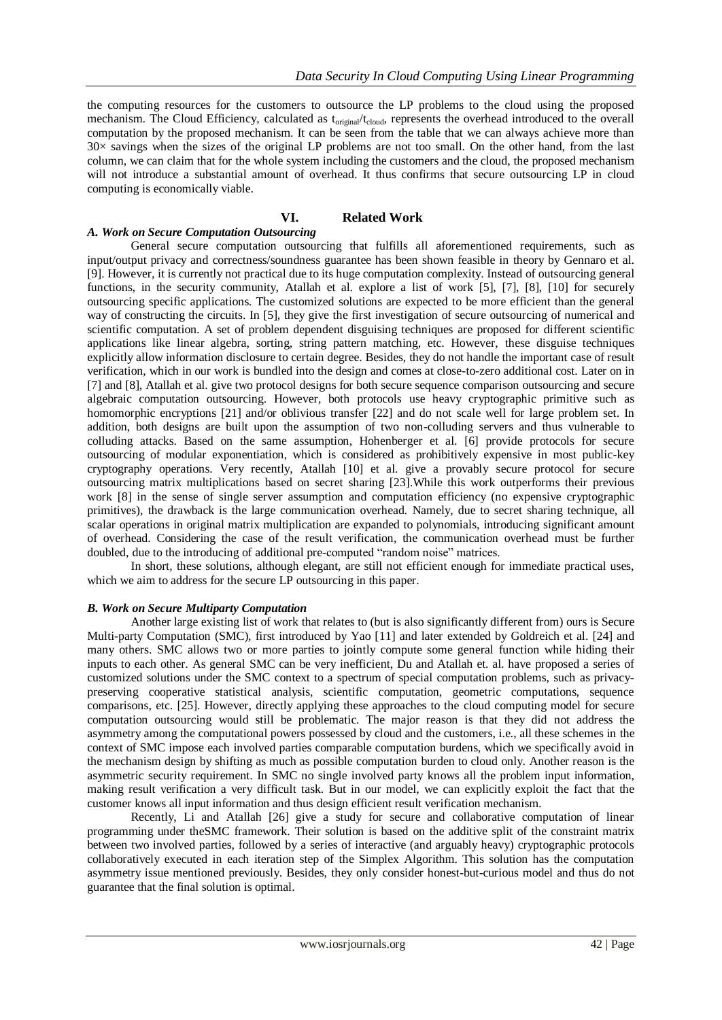the computing resources for the customers to outsource the LP problems to the cloud using the proposed mechanism. The Cloud Efficiency, calculated as  $t_{\text{original}}/t_{\text{cloud}}$ , represents the overhead introduced to the overall computation by the proposed mechanism. It can be seen from the table that we can always achieve more than 30× savings when the sizes of the original LP problems are not too small. On the other hand, from the last column, we can claim that for the whole system including the customers and the cloud, the proposed mechanism will not introduce a substantial amount of overhead. It thus confirms that secure outsourcing LP in cloud computing is economically viable.

### **VI. Related Work**

## *A. Work on Secure Computation Outsourcing*

 General secure computation outsourcing that fulfills all aforementioned requirements, such as input/output privacy and correctness/soundness guarantee has been shown feasible in theory by Gennaro et al. [9]. However, it is currently not practical due to its huge computation complexity. Instead of outsourcing general functions, in the security community, Atallah et al. explore a list of work [5], [7], [8], [10] for securely outsourcing specific applications. The customized solutions are expected to be more efficient than the general way of constructing the circuits. In [5], they give the first investigation of secure outsourcing of numerical and scientific computation. A set of problem dependent disguising techniques are proposed for different scientific applications like linear algebra, sorting, string pattern matching, etc. However, these disguise techniques explicitly allow information disclosure to certain degree. Besides, they do not handle the important case of result verification, which in our work is bundled into the design and comes at close-to-zero additional cost. Later on in [7] and [8], Atallah et al. give two protocol designs for both secure sequence comparison outsourcing and secure algebraic computation outsourcing. However, both protocols use heavy cryptographic primitive such as homomorphic encryptions [21] and/or oblivious transfer [22] and do not scale well for large problem set. In addition, both designs are built upon the assumption of two non-colluding servers and thus vulnerable to colluding attacks. Based on the same assumption, Hohenberger et al. [6] provide protocols for secure outsourcing of modular exponentiation, which is considered as prohibitively expensive in most public-key cryptography operations. Very recently, Atallah [10] et al. give a provably secure protocol for secure outsourcing matrix multiplications based on secret sharing [23].While this work outperforms their previous work [8] in the sense of single server assumption and computation efficiency (no expensive cryptographic primitives), the drawback is the large communication overhead. Namely, due to secret sharing technique, all scalar operations in original matrix multiplication are expanded to polynomials, introducing significant amount of overhead. Considering the case of the result verification, the communication overhead must be further doubled, due to the introducing of additional pre-computed "random noise" matrices.

 In short, these solutions, although elegant, are still not efficient enough for immediate practical uses, which we aim to address for the secure LP outsourcing in this paper.

#### *B. Work on Secure Multiparty Computation*

 Another large existing list of work that relates to (but is also significantly different from) ours is Secure Multi-party Computation (SMC), first introduced by Yao [11] and later extended by Goldreich et al. [24] and many others. SMC allows two or more parties to jointly compute some general function while hiding their inputs to each other. As general SMC can be very inefficient, Du and Atallah et. al. have proposed a series of customized solutions under the SMC context to a spectrum of special computation problems, such as privacypreserving cooperative statistical analysis, scientific computation, geometric computations, sequence comparisons, etc. [25]. However, directly applying these approaches to the cloud computing model for secure computation outsourcing would still be problematic. The major reason is that they did not address the asymmetry among the computational powers possessed by cloud and the customers, i.e., all these schemes in the context of SMC impose each involved parties comparable computation burdens, which we specifically avoid in the mechanism design by shifting as much as possible computation burden to cloud only. Another reason is the asymmetric security requirement. In SMC no single involved party knows all the problem input information, making result verification a very difficult task. But in our model, we can explicitly exploit the fact that the customer knows all input information and thus design efficient result verification mechanism.

 Recently, Li and Atallah [26] give a study for secure and collaborative computation of linear programming under theSMC framework. Their solution is based on the additive split of the constraint matrix between two involved parties, followed by a series of interactive (and arguably heavy) cryptographic protocols collaboratively executed in each iteration step of the Simplex Algorithm. This solution has the computation asymmetry issue mentioned previously. Besides, they only consider honest-but-curious model and thus do not guarantee that the final solution is optimal.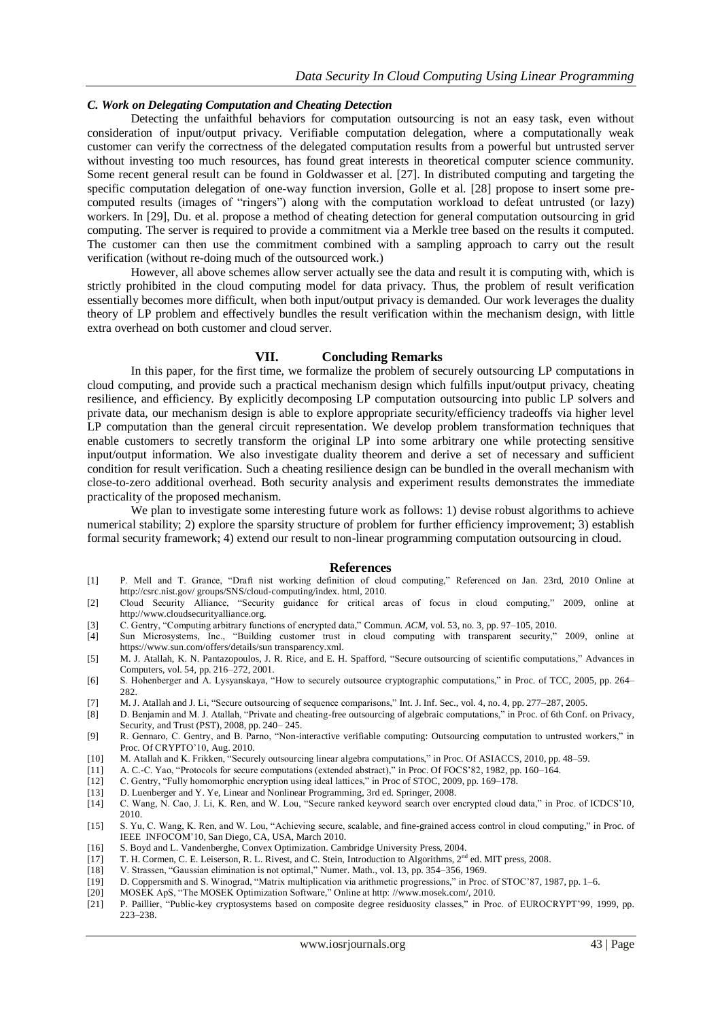### *C. Work on Delegating Computation and Cheating Detection*

 Detecting the unfaithful behaviors for computation outsourcing is not an easy task, even without consideration of input/output privacy. Verifiable computation delegation, where a computationally weak customer can verify the correctness of the delegated computation results from a powerful but untrusted server without investing too much resources, has found great interests in theoretical computer science community. Some recent general result can be found in Goldwasser et al. [27]. In distributed computing and targeting the specific computation delegation of one-way function inversion, Golle et al. [28] propose to insert some precomputed results (images of "ringers") along with the computation workload to defeat untrusted (or lazy) workers. In [29], Du. et al. propose a method of cheating detection for general computation outsourcing in grid computing. The server is required to provide a commitment via a Merkle tree based on the results it computed. The customer can then use the commitment combined with a sampling approach to carry out the result verification (without re-doing much of the outsourced work.)

 However, all above schemes allow server actually see the data and result it is computing with, which is strictly prohibited in the cloud computing model for data privacy. Thus, the problem of result verification essentially becomes more difficult, when both input/output privacy is demanded. Our work leverages the duality theory of LP problem and effectively bundles the result verification within the mechanism design, with little extra overhead on both customer and cloud server.

#### **VII. Concluding Remarks**

 In this paper, for the first time, we formalize the problem of securely outsourcing LP computations in cloud computing, and provide such a practical mechanism design which fulfills input/output privacy, cheating resilience, and efficiency. By explicitly decomposing LP computation outsourcing into public LP solvers and private data, our mechanism design is able to explore appropriate security/efficiency tradeoffs via higher level LP computation than the general circuit representation. We develop problem transformation techniques that enable customers to secretly transform the original LP into some arbitrary one while protecting sensitive input/output information. We also investigate duality theorem and derive a set of necessary and sufficient condition for result verification. Such a cheating resilience design can be bundled in the overall mechanism with close-to-zero additional overhead. Both security analysis and experiment results demonstrates the immediate practicality of the proposed mechanism.

We plan to investigate some interesting future work as follows: 1) devise robust algorithms to achieve numerical stability; 2) explore the sparsity structure of problem for further efficiency improvement; 3) establish formal security framework; 4) extend our result to non-linear programming computation outsourcing in cloud.

#### **References**

- [1] P. Mell and T. Grance, "Draft nist working definition of cloud computing," Referenced on Jan. 23rd, 2010 Online at http://csrc.nist.gov/ groups/SNS/cloud-computing/index. html, 2010.
- [2] Cloud Security Alliance, "Security guidance for critical areas of focus in cloud computing," 2009, online at http://www.cloudsecurityalliance.org.
- [3] C. Gentry, "Computing arbitrary functions of encrypted data," Commun. *ACM*, vol. 53, no. 3, pp. 97–105, 2010.
- [4] Sun Microsystems, Inc., "Building customer trust in cloud computing with transparent security," 2009, online at https://www.sun.com/offers/details/sun transparency.xml.
- [5] M. J. Atallah, K. N. Pantazopoulos, J. R. Rice, and E. H. Spafford, "Secure outsourcing of scientific computations," Advances in Computers, vol. 54, pp. 216–272, 2001.
- [6] S. Hohenberger and A. Lysyanskaya, "How to securely outsource cryptographic computations," in Proc. of TCC, 2005, pp. 264– 282.
- [7] M. J. Atallah and J. Li, "Secure outsourcing of sequence comparisons," Int. J. Inf. Sec., vol. 4, no. 4, pp. 277–287, 2005.
- [8] D. Benjamin and M. J. Atallah, "Private and cheating-free outsourcing of algebraic computations," in Proc. of 6th Conf. on Privacy, Security, and Trust (PST), 2008, pp. 240– 245.
- [9] R. Gennaro, C. Gentry, and B. Parno, "Non-interactive verifiable computing: Outsourcing computation to untrusted workers," in Proc. Of CRYPTO'10, Aug. 2010.
- [10] M. Atallah and K. Frikken, "Securely outsourcing linear algebra computations," in Proc. Of ASIACCS, 2010, pp. 48–59.
- [11] A. C.-C. Yao, "Protocols for secure computations (extended abstract)," in Proc. Of FOCS'82, 1982, pp. 160–164.
- [12] C. Gentry, "Fully homomorphic encryption using ideal lattices," in Proc of STOC, 2009, pp. 169–178.
- 
- [13] D. Luenberger and Y. Ye, Linear and Nonlinear Programming, 3rd ed. Springer, 2008. [14] C. Wang, N. Cao, J. Li, K. Ren, and W. Lou, "Secure ranked keyword search over encrypted cloud data," in Proc. of ICDCS'10, 2010.
- [15] S. Yu, C. Wang, K. Ren, and W. Lou, "Achieving secure, scalable, and fine-grained access control in cloud computing," in Proc. of IEEE INFOCOM'10, San Diego, CA, USA, March 2010.
- [16] S. Boyd and L. Vandenberghe, Convex Optimization. Cambridge University Press, 2004.
- [17] T. H. Cormen, C. E. Leiserson, R. L. Rivest, and C. Stein, Introduction to Algorithms, 2<sup>nd</sup> ed. MIT press, 2008.
- [18] V. Strassen, "Gaussian elimination is not optimal," Numer. Math., vol. 13, pp. 354–356, 1969. [19] D. Coppersmith and S. Winograd, "Matrix multiplication via arithmetic progressions," in Proc. of STOC'87, 1987, pp. 1–6.
- 
- [20] MOSEK ApS, "The MOSEK Optimization Software," Online at http: //www.mosek.com/, 2010.
- [21] P. Paillier, "Public-key cryptosystems based on composite degree residuosity classes," in Proc. of EUROCRYPT'99, 1999, pp. 223–238.